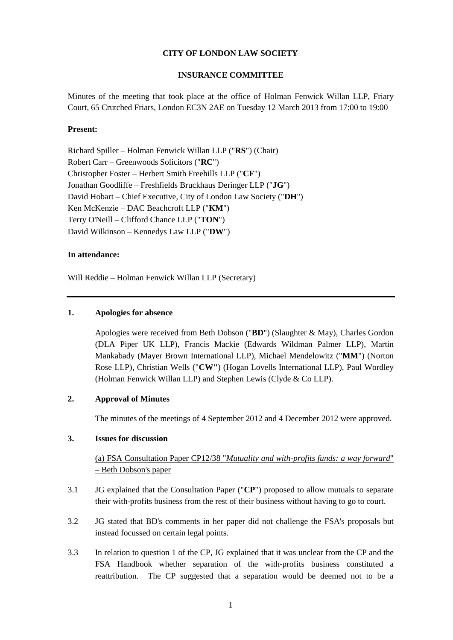### **CITY OF LONDON LAW SOCIETY**

#### **INSURANCE COMMITTEE**

Minutes of the meeting that took place at the office of Holman Fenwick Willan LLP, Friary Court, 65 Crutched Friars, London EC3N 2AE on Tuesday 12 March 2013 from 17:00 to 19:00

#### **Present:**

Richard Spiller – Holman Fenwick Willan LLP ("**RS**") (Chair) Robert Carr – Greenwoods Solicitors ("**RC**") Christopher Foster – Herbert Smith Freehills LLP ("**CF**") Jonathan Goodliffe – Freshfields Bruckhaus Deringer LLP ("**JG**") David Hobart – Chief Executive, City of London Law Society ("**DH**") Ken McKenzie – DAC Beachcroft LLP ("**KM**") Terry O'Neill – Clifford Chance LLP ("**TON**") David Wilkinson – Kennedys Law LLP ("**DW**")

#### **In attendance:**

Will Reddie – Holman Fenwick Willan LLP (Secretary)

### **1. Apologies for absence**

Apologies were received from Beth Dobson ("**BD**") (Slaughter & May), Charles Gordon (DLA Piper UK LLP), Francis Mackie (Edwards Wildman Palmer LLP), Martin Mankabady (Mayer Brown International LLP), Michael Mendelowitz ("**MM**") (Norton Rose LLP), Christian Wells ("**CW"**) (Hogan Lovells International LLP), Paul Wordley (Holman Fenwick Willan LLP) and Stephen Lewis (Clyde & Co LLP).

#### **2. Approval of Minutes**

The minutes of the meetings of 4 September 2012 and 4 December 2012 were approved.

### **3. Issues for discussion**

(a) FSA Consultation Paper CP12/38 "*Mutuality and with-profits funds: a way forward*" – Beth Dobson's paper

- 3.1 JG explained that the Consultation Paper ("**CP**") proposed to allow mutuals to separate their with-profits business from the rest of their business without having to go to court.
- 3.2 JG stated that BD's comments in her paper did not challenge the FSA's proposals but instead focussed on certain legal points.
- 3.3 In relation to question 1 of the CP, JG explained that it was unclear from the CP and the FSA Handbook whether separation of the with-profits business constituted a reattribution. The CP suggested that a separation would be deemed not to be a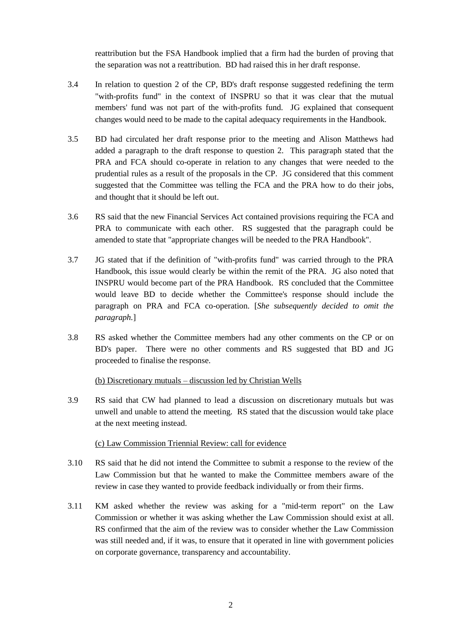reattribution but the FSA Handbook implied that a firm had the burden of proving that the separation was not a reattribution. BD had raised this in her draft response.

- 3.4 In relation to question 2 of the CP, BD's draft response suggested redefining the term "with-profits fund" in the context of INSPRU so that it was clear that the mutual members' fund was not part of the with-profits fund. JG explained that consequent changes would need to be made to the capital adequacy requirements in the Handbook.
- 3.5 BD had circulated her draft response prior to the meeting and Alison Matthews had added a paragraph to the draft response to question 2. This paragraph stated that the PRA and FCA should co-operate in relation to any changes that were needed to the prudential rules as a result of the proposals in the CP. JG considered that this comment suggested that the Committee was telling the FCA and the PRA how to do their jobs, and thought that it should be left out.
- 3.6 RS said that the new Financial Services Act contained provisions requiring the FCA and PRA to communicate with each other. RS suggested that the paragraph could be amended to state that "appropriate changes will be needed to the PRA Handbook".
- 3.7 JG stated that if the definition of "with-profits fund" was carried through to the PRA Handbook, this issue would clearly be within the remit of the PRA. JG also noted that INSPRU would become part of the PRA Handbook. RS concluded that the Committee would leave BD to decide whether the Committee's response should include the paragraph on PRA and FCA co-operation. [*She subsequently decided to omit the paragraph.*]
- 3.8 RS asked whether the Committee members had any other comments on the CP or on BD's paper. There were no other comments and RS suggested that BD and JG proceeded to finalise the response.

### (b) Discretionary mutuals – discussion led by Christian Wells

3.9 RS said that CW had planned to lead a discussion on discretionary mutuals but was unwell and unable to attend the meeting. RS stated that the discussion would take place at the next meeting instead.

### (c) Law Commission Triennial Review: call for evidence

- 3.10 RS said that he did not intend the Committee to submit a response to the review of the Law Commission but that he wanted to make the Committee members aware of the review in case they wanted to provide feedback individually or from their firms.
- 3.11 KM asked whether the review was asking for a "mid-term report" on the Law Commission or whether it was asking whether the Law Commission should exist at all. RS confirmed that the aim of the review was to consider whether the Law Commission was still needed and, if it was, to ensure that it operated in line with government policies on corporate governance, transparency and accountability.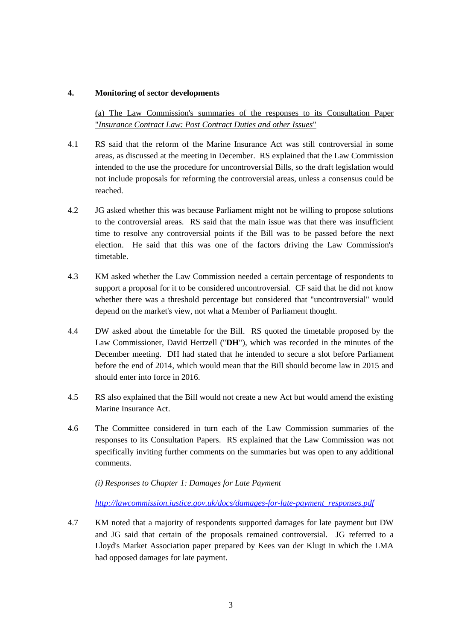### **4. Monitoring of sector developments**

(a) The Law Commission's summaries of the responses to its Consultation Paper "*Insurance Contract Law: Post Contract Duties and other Issues*"

- 4.1 RS said that the reform of the Marine Insurance Act was still controversial in some areas, as discussed at the meeting in December. RS explained that the Law Commission intended to the use the procedure for uncontroversial Bills, so the draft legislation would not include proposals for reforming the controversial areas, unless a consensus could be reached.
- 4.2 JG asked whether this was because Parliament might not be willing to propose solutions to the controversial areas. RS said that the main issue was that there was insufficient time to resolve any controversial points if the Bill was to be passed before the next election. He said that this was one of the factors driving the Law Commission's timetable.
- 4.3 KM asked whether the Law Commission needed a certain percentage of respondents to support a proposal for it to be considered uncontroversial. CF said that he did not know whether there was a threshold percentage but considered that "uncontroversial" would depend on the market's view, not what a Member of Parliament thought.
- 4.4 DW asked about the timetable for the Bill. RS quoted the timetable proposed by the Law Commissioner, David Hertzell ("**DH**"), which was recorded in the minutes of the December meeting. DH had stated that he intended to secure a slot before Parliament before the end of 2014, which would mean that the Bill should become law in 2015 and should enter into force in 2016.
- 4.5 RS also explained that the Bill would not create a new Act but would amend the existing Marine Insurance Act.
- 4.6 The Committee considered in turn each of the Law Commission summaries of the responses to its Consultation Papers. RS explained that the Law Commission was not specifically inviting further comments on the summaries but was open to any additional comments.

*(i) Responses to Chapter 1: Damages for Late Payment*

*[http://lawcommission.justice.gov.uk/docs/damages-for-late-payment\\_responses.pdf](http://lawcommission.justice.gov.uk/docs/damages-for-late-payment_responses.pdf)*

4.7 KM noted that a majority of respondents supported damages for late payment but DW and JG said that certain of the proposals remained controversial. JG referred to a Lloyd's Market Association paper prepared by Kees van der Klugt in which the LMA had opposed damages for late payment.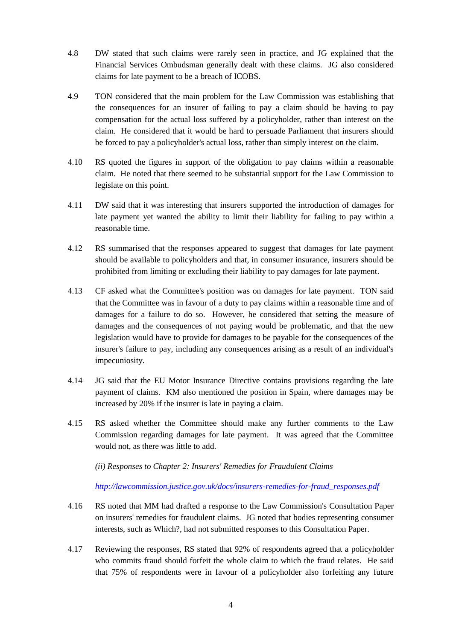- 4.8 DW stated that such claims were rarely seen in practice, and JG explained that the Financial Services Ombudsman generally dealt with these claims. JG also considered claims for late payment to be a breach of ICOBS.
- 4.9 TON considered that the main problem for the Law Commission was establishing that the consequences for an insurer of failing to pay a claim should be having to pay compensation for the actual loss suffered by a policyholder, rather than interest on the claim. He considered that it would be hard to persuade Parliament that insurers should be forced to pay a policyholder's actual loss, rather than simply interest on the claim.
- 4.10 RS quoted the figures in support of the obligation to pay claims within a reasonable claim. He noted that there seemed to be substantial support for the Law Commission to legislate on this point.
- 4.11 DW said that it was interesting that insurers supported the introduction of damages for late payment yet wanted the ability to limit their liability for failing to pay within a reasonable time.
- 4.12 RS summarised that the responses appeared to suggest that damages for late payment should be available to policyholders and that, in consumer insurance, insurers should be prohibited from limiting or excluding their liability to pay damages for late payment.
- 4.13 CF asked what the Committee's position was on damages for late payment. TON said that the Committee was in favour of a duty to pay claims within a reasonable time and of damages for a failure to do so. However, he considered that setting the measure of damages and the consequences of not paying would be problematic, and that the new legislation would have to provide for damages to be payable for the consequences of the insurer's failure to pay, including any consequences arising as a result of an individual's impecuniosity.
- 4.14 JG said that the EU Motor Insurance Directive contains provisions regarding the late payment of claims. KM also mentioned the position in Spain, where damages may be increased by 20% if the insurer is late in paying a claim.
- 4.15 RS asked whether the Committee should make any further comments to the Law Commission regarding damages for late payment. It was agreed that the Committee would not, as there was little to add.

*(ii) Responses to Chapter 2: Insurers' Remedies for Fraudulent Claims*

*[http://lawcommission.justice.gov.uk/docs/insurers-remedies-for-fraud\\_responses.pdf](http://lawcommission.justice.gov.uk/docs/insurers-remedies-for-fraud_responses.pdf)*

- 4.16 RS noted that MM had drafted a response to the Law Commission's Consultation Paper on insurers' remedies for fraudulent claims. JG noted that bodies representing consumer interests, such as Which?, had not submitted responses to this Consultation Paper.
- 4.17 Reviewing the responses, RS stated that 92% of respondents agreed that a policyholder who commits fraud should forfeit the whole claim to which the fraud relates. He said that 75% of respondents were in favour of a policyholder also forfeiting any future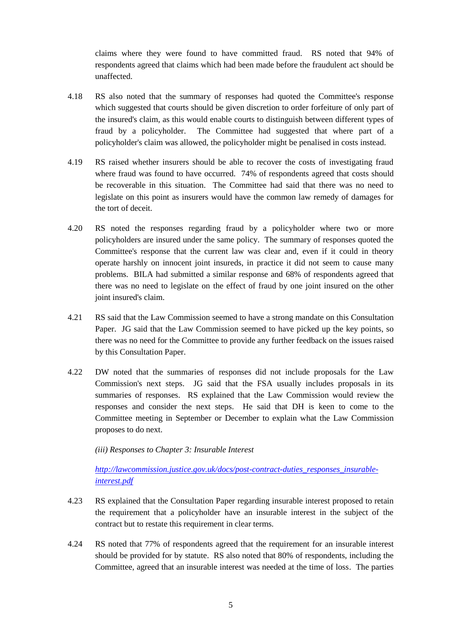claims where they were found to have committed fraud. RS noted that 94% of respondents agreed that claims which had been made before the fraudulent act should be unaffected.

- 4.18 RS also noted that the summary of responses had quoted the Committee's response which suggested that courts should be given discretion to order forfeiture of only part of the insured's claim, as this would enable courts to distinguish between different types of fraud by a policyholder. The Committee had suggested that where part of a policyholder's claim was allowed, the policyholder might be penalised in costs instead.
- 4.19 RS raised whether insurers should be able to recover the costs of investigating fraud where fraud was found to have occurred. 74% of respondents agreed that costs should be recoverable in this situation. The Committee had said that there was no need to legislate on this point as insurers would have the common law remedy of damages for the tort of deceit.
- 4.20 RS noted the responses regarding fraud by a policyholder where two or more policyholders are insured under the same policy. The summary of responses quoted the Committee's response that the current law was clear and, even if it could in theory operate harshly on innocent joint insureds, in practice it did not seem to cause many problems. BILA had submitted a similar response and 68% of respondents agreed that there was no need to legislate on the effect of fraud by one joint insured on the other joint insured's claim.
- 4.21 RS said that the Law Commission seemed to have a strong mandate on this Consultation Paper. JG said that the Law Commission seemed to have picked up the key points, so there was no need for the Committee to provide any further feedback on the issues raised by this Consultation Paper.
- 4.22 DW noted that the summaries of responses did not include proposals for the Law Commission's next steps. JG said that the FSA usually includes proposals in its summaries of responses. RS explained that the Law Commission would review the responses and consider the next steps. He said that DH is keen to come to the Committee meeting in September or December to explain what the Law Commission proposes to do next.

*(iii) Responses to Chapter 3: Insurable Interest*

*[http://lawcommission.justice.gov.uk/docs/post-contract-duties\\_responses\\_insurable](http://lawcommission.justice.gov.uk/docs/post-contract-duties_responses_insurable-interest.pdf)[interest.pdf](http://lawcommission.justice.gov.uk/docs/post-contract-duties_responses_insurable-interest.pdf)*

- 4.23 RS explained that the Consultation Paper regarding insurable interest proposed to retain the requirement that a policyholder have an insurable interest in the subject of the contract but to restate this requirement in clear terms.
- 4.24 RS noted that 77% of respondents agreed that the requirement for an insurable interest should be provided for by statute. RS also noted that 80% of respondents, including the Committee, agreed that an insurable interest was needed at the time of loss. The parties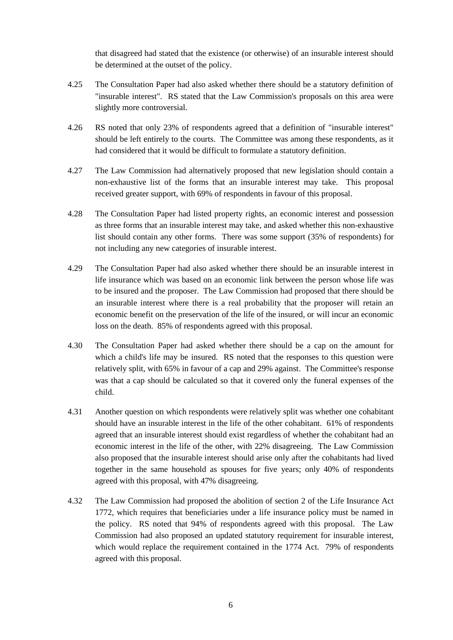that disagreed had stated that the existence (or otherwise) of an insurable interest should be determined at the outset of the policy.

- 4.25 The Consultation Paper had also asked whether there should be a statutory definition of "insurable interest". RS stated that the Law Commission's proposals on this area were slightly more controversial.
- 4.26 RS noted that only 23% of respondents agreed that a definition of "insurable interest" should be left entirely to the courts. The Committee was among these respondents, as it had considered that it would be difficult to formulate a statutory definition.
- 4.27 The Law Commission had alternatively proposed that new legislation should contain a non-exhaustive list of the forms that an insurable interest may take. This proposal received greater support, with 69% of respondents in favour of this proposal.
- 4.28 The Consultation Paper had listed property rights, an economic interest and possession as three forms that an insurable interest may take, and asked whether this non-exhaustive list should contain any other forms. There was some support (35% of respondents) for not including any new categories of insurable interest.
- 4.29 The Consultation Paper had also asked whether there should be an insurable interest in life insurance which was based on an economic link between the person whose life was to be insured and the proposer. The Law Commission had proposed that there should be an insurable interest where there is a real probability that the proposer will retain an economic benefit on the preservation of the life of the insured, or will incur an economic loss on the death. 85% of respondents agreed with this proposal.
- 4.30 The Consultation Paper had asked whether there should be a cap on the amount for which a child's life may be insured. RS noted that the responses to this question were relatively split, with 65% in favour of a cap and 29% against. The Committee's response was that a cap should be calculated so that it covered only the funeral expenses of the child.
- 4.31 Another question on which respondents were relatively split was whether one cohabitant should have an insurable interest in the life of the other cohabitant. 61% of respondents agreed that an insurable interest should exist regardless of whether the cohabitant had an economic interest in the life of the other, with 22% disagreeing. The Law Commission also proposed that the insurable interest should arise only after the cohabitants had lived together in the same household as spouses for five years; only 40% of respondents agreed with this proposal, with 47% disagreeing.
- 4.32 The Law Commission had proposed the abolition of section 2 of the Life Insurance Act 1772, which requires that beneficiaries under a life insurance policy must be named in the policy. RS noted that 94% of respondents agreed with this proposal. The Law Commission had also proposed an updated statutory requirement for insurable interest, which would replace the requirement contained in the 1774 Act. 79% of respondents agreed with this proposal.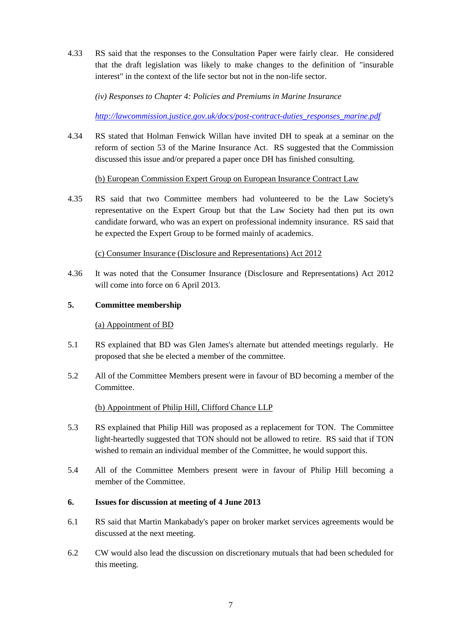4.33 RS said that the responses to the Consultation Paper were fairly clear. He considered that the draft legislation was likely to make changes to the definition of "insurable interest" in the context of the life sector but not in the non-life sector.

*(iv) Responses to Chapter 4: Policies and Premiums in Marine Insurance*

*[http://lawcommission.justice.gov.uk/docs/post-contract-duties\\_responses\\_marine.pdf](http://lawcommission.justice.gov.uk/docs/post-contract-duties_responses_marine.pdf)*

4.34 RS stated that Holman Fenwick Willan have invited DH to speak at a seminar on the reform of section 53 of the Marine Insurance Act. RS suggested that the Commission discussed this issue and/or prepared a paper once DH has finished consulting.

# (b) European Commission Expert Group on European Insurance Contract Law

4.35 RS said that two Committee members had volunteered to be the Law Society's representative on the Expert Group but that the Law Society had then put its own candidate forward, who was an expert on professional indemnity insurance. RS said that he expected the Expert Group to be formed mainly of academics.

# (c) Consumer Insurance (Disclosure and Representations) Act 2012

4.36 It was noted that the Consumer Insurance (Disclosure and Representations) Act 2012 will come into force on 6 April 2013.

# **5. Committee membership**

### (a) Appointment of BD

- 5.1 RS explained that BD was Glen James's alternate but attended meetings regularly. He proposed that she be elected a member of the committee.
- 5.2 All of the Committee Members present were in favour of BD becoming a member of the Committee.

### (b) Appointment of Philip Hill, Clifford Chance LLP

- 5.3 RS explained that Philip Hill was proposed as a replacement for TON. The Committee light-heartedly suggested that TON should not be allowed to retire. RS said that if TON wished to remain an individual member of the Committee, he would support this.
- 5.4 All of the Committee Members present were in favour of Philip Hill becoming a member of the Committee.

### **6. Issues for discussion at meeting of 4 June 2013**

- 6.1 RS said that Martin Mankabady's paper on broker market services agreements would be discussed at the next meeting.
- 6.2 CW would also lead the discussion on discretionary mutuals that had been scheduled for this meeting.